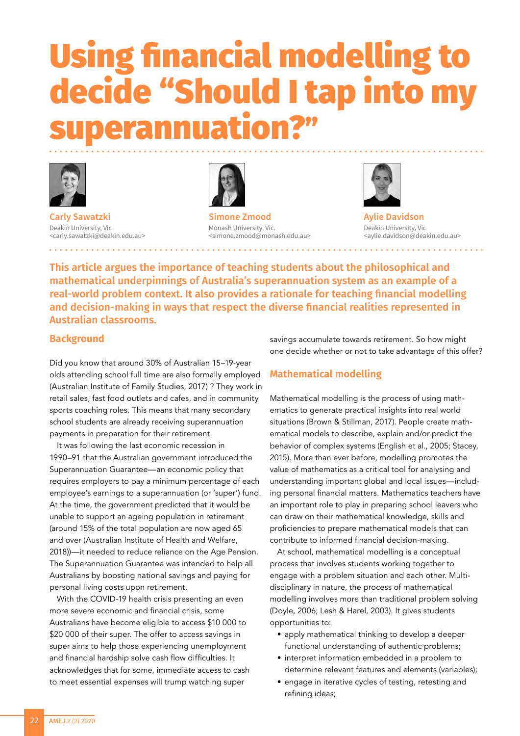# Using financial modelling to decide "Should I tap into my erannuation?"



**Carly Sawatzki** Deakin University, Vic <carly.sawatzki@deakin.edu.au>



**Simone Zmood** Monash University, Vic. <simone.zmood@monash.edu.au>



**Aylie Davidson** Deakin University, Vic <aylie.davidson@deakin.edu.au>

This article argues the importance of teaching students about the philosophical and mathematical underpinnings of Australia's superannuation system as an example of a real-world problem context. It also provides a rationale for teaching financial modelling and decision-making in ways that respect the diverse financial realities represented in Australian classrooms.

## **Background**

Did you know that around 30% of Australian 15–19-year olds attending school full time are also formally employed (Australian Institute of Family Studies, 2017) ? They work in retail sales, fast food outlets and cafes, and in community sports coaching roles. This means that many secondary school students are already receiving superannuation payments in preparation for their retirement.

It was following the last economic recession in 1990–91 that the Australian government introduced the Superannuation Guarantee—an economic policy that requires employers to pay a minimum percentage of each employee's earnings to a superannuation (or 'super') fund. At the time, the government predicted that it would be unable to support an ageing population in retirement (around 15% of the total population are now aged 65 and over (Australian Institute of Health and Welfare, 2018))—it needed to reduce reliance on the Age Pension. The Superannuation Guarantee was intended to help all Australians by boosting national savings and paying for personal living costs upon retirement.

With the COVID-19 health crisis presenting an even more severe economic and financial crisis, some Australians have become eligible to access \$10 000 to \$20 000 of their super. The offer to access savings in super aims to help those experiencing unemployment and financial hardship solve cash flow difficulties. It acknowledges that for some, immediate access to cash to meet essential expenses will trump watching super

savings accumulate towards retirement. So how might one decide whether or not to take advantage of this offer?

# **Mathematical modelling**

Mathematical modelling is the process of using mathematics to generate practical insights into real world situations (Brown & Stillman, 2017). People create mathematical models to describe, explain and/or predict the behavior of complex systems (English et al., 2005; Stacey, 2015). More than ever before, modelling promotes the value of mathematics as a critical tool for analysing and understanding important global and local issues—including personal financial matters. Mathematics teachers have an important role to play in preparing school leavers who can draw on their mathematical knowledge, skills and proficiencies to prepare mathematical models that can contribute to informed financial decision-making.

At school, mathematical modelling is a conceptual process that involves students working together to engage with a problem situation and each other. Multidisciplinary in nature, the process of mathematical modelling involves more than traditional problem solving (Doyle, 2006; Lesh & Harel, 2003). It gives students opportunities to:

- apply mathematical thinking to develop a deeper functional understanding of authentic problems;
- interpret information embedded in a problem to determine relevant features and elements (variables);
- engage in iterative cycles of testing, retesting and refining ideas;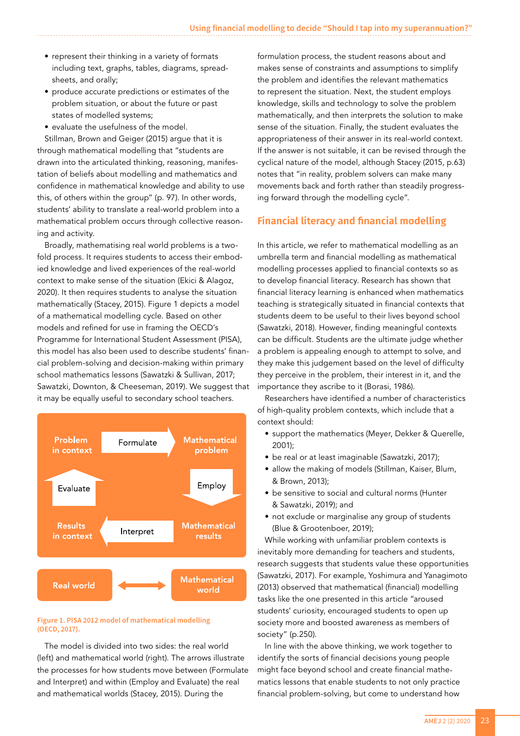- represent their thinking in a variety of formats including text, graphs, tables, diagrams, spreadsheets, and orally;
- produce accurate predictions or estimates of the problem situation, or about the future or past states of modelled systems;
- evaluate the usefulness of the model.

Stillman, Brown and Geiger (2015) argue that it is through mathematical modelling that "students are drawn into the articulated thinking, reasoning, manifestation of beliefs about modelling and mathematics and confidence in mathematical knowledge and ability to use this, of others within the group" (p. 97). In other words, students' ability to translate a real-world problem into a mathematical problem occurs through collective reasoning and activity.

Broadly, mathematising real world problems is a twofold process. It requires students to access their embodied knowledge and lived experiences of the real-world context to make sense of the situation (Ekici & Alagoz, 2020). It then requires students to analyse the situation mathematically (Stacey, 2015). Figure 1 depicts a model of a mathematical modelling cycle. Based on other models and refined for use in framing the OECD's Programme for International Student Assessment (PISA), this model has also been used to describe students' financial problem-solving and decision-making within primary school mathematics lessons (Sawatzki & Sullivan, 2017; Sawatzki, Downton, & Cheeseman, 2019). We suggest that it may be equally useful to secondary school teachers.



#### **Figure 1. PISA 2012 model of mathematical modelling (OECD, 2017).**

The model is divided into two sides: the real world (left) and mathematical world (right). The arrows illustrate the processes for how students move between (Formulate and Interpret) and within (Employ and Evaluate) the real and mathematical worlds (Stacey, 2015). During the

formulation process, the student reasons about and makes sense of constraints and assumptions to simplify the problem and identifies the relevant mathematics to represent the situation. Next, the student employs knowledge, skills and technology to solve the problem mathematically, and then interprets the solution to make sense of the situation. Finally, the student evaluates the appropriateness of their answer in its real-world context. If the answer is not suitable, it can be revised through the cyclical nature of the model, although Stacey (2015, p.63) notes that "in reality, problem solvers can make many movements back and forth rather than steadily progressing forward through the modelling cycle".

# **Financial literacy and financial modelling**

In this article, we refer to mathematical modelling as an umbrella term and financial modelling as mathematical modelling processes applied to financial contexts so as to develop financial literacy. Research has shown that financial literacy learning is enhanced when mathematics teaching is strategically situated in financial contexts that students deem to be useful to their lives beyond school (Sawatzki, 2018). However, finding meaningful contexts can be difficult. Students are the ultimate judge whether a problem is appealing enough to attempt to solve, and they make this judgement based on the level of difficulty they perceive in the problem, their interest in it, and the importance they ascribe to it (Borasi, 1986).

Researchers have identified a number of characteristics of high-quality problem contexts, which include that a context should:

- support the mathematics (Meyer, Dekker & Querelle, 2001);
- be real or at least imaginable (Sawatzki, 2017);
- allow the making of models (Stillman, Kaiser, Blum, & Brown, 2013);
- be sensitive to social and cultural norms (Hunter & Sawatzki, 2019); and
- not exclude or marginalise any group of students (Blue & Grootenboer, 2019);

While working with unfamiliar problem contexts is inevitably more demanding for teachers and students, research suggests that students value these opportunities (Sawatzki, 2017). For example, Yoshimura and Yanagimoto (2013) observed that mathematical (financial) modelling tasks like the one presented in this article "aroused students' curiosity, encouraged students to open up society more and boosted awareness as members of society" (p.250).

In line with the above thinking, we work together to identify the sorts of financial decisions young people might face beyond school and create financial mathematics lessons that enable students to not only practice financial problem-solving, but come to understand how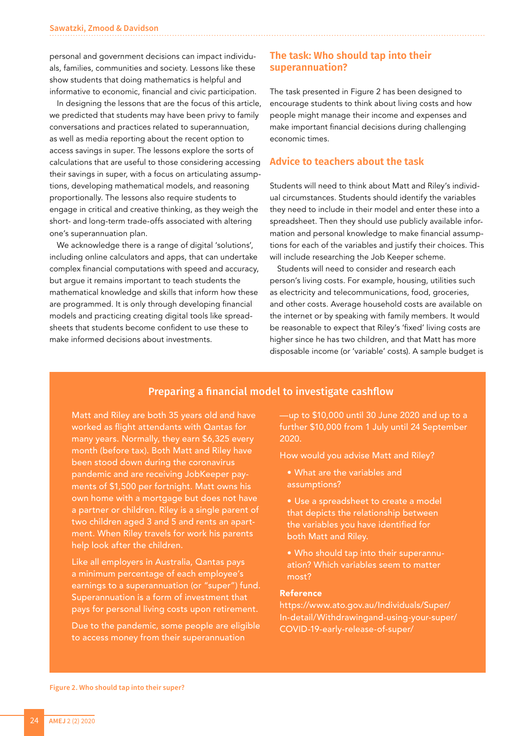personal and government decisions can impact individuals, families, communities and society. Lessons like these show students that doing mathematics is helpful and informative to economic, financial and civic participation.

In designing the lessons that are the focus of this article, we predicted that students may have been privy to family conversations and practices related to superannuation, as well as media reporting about the recent option to access savings in super. The lessons explore the sorts of calculations that are useful to those considering accessing their savings in super, with a focus on articulating assumptions, developing mathematical models, and reasoning proportionally. The lessons also require students to engage in critical and creative thinking, as they weigh the short- and long-term trade-offs associated with altering one's superannuation plan.

We acknowledge there is a range of digital 'solutions', including online calculators and apps, that can undertake complex financial computations with speed and accuracy, but argue it remains important to teach students the mathematical knowledge and skills that inform how these are programmed. It is only through developing financial models and practicing creating digital tools like spreadsheets that students become confident to use these to make informed decisions about investments.

## **The task: Who should tap into their superannuation?**

The task presented in Figure 2 has been designed to encourage students to think about living costs and how people might manage their income and expenses and make important financial decisions during challenging economic times.

## **Advice to teachers about the task**

Students will need to think about Matt and Riley's individual circumstances. Students should identify the variables they need to include in their model and enter these into a spreadsheet. Then they should use publicly available information and personal knowledge to make financial assumptions for each of the variables and justify their choices. This will include researching the Job Keeper scheme.

Students will need to consider and research each person's living costs. For example, housing, utilities such as electricity and telecommunications, food, groceries, and other costs. Average household costs are available on the internet or by speaking with family members. It would be reasonable to expect that Riley's 'fixed' living costs are higher since he has two children, and that Matt has more disposable income (or 'variable' costs). A sample budget is

# Preparing a financial model to investigate cashflow

Matt and Riley are both 35 years old and have worked as flight attendants with Qantas for many years. Normally, they earn \$6,325 every month (before tax). Both Matt and Riley have been stood down during the coronavirus pandemic and are receiving JobKeeper payments of \$1,500 per fortnight. Matt owns his own home with a mortgage but does not have a partner or children. Riley is a single parent of two children aged 3 and 5 and rents an apartment. When Riley travels for work his parents help look after the children.

Like all employers in Australia, Qantas pays a minimum percentage of each employee's earnings to a superannuation (or "super") fund. Superannuation is a form of investment that pays for personal living costs upon retirement.

Due to the pandemic, some people are eligible to access money from their superannuation

—up to \$10,000 until 30 June 2020 and up to a further \$10,000 from 1 July until 24 September 2020.

How would you advise Matt and Riley?

- What are the variables and assumptions?
- Use a spreadsheet to create a model that depicts the relationship between the variables you have identified for both Matt and Riley.
- Who should tap into their superannuation? Which variables seem to matter most?

#### Reference

https://www.ato.gov.au/Individuals/Super/ In-detail/Withdrawingand-using-your-super/ COVID-19-early-release-of-super/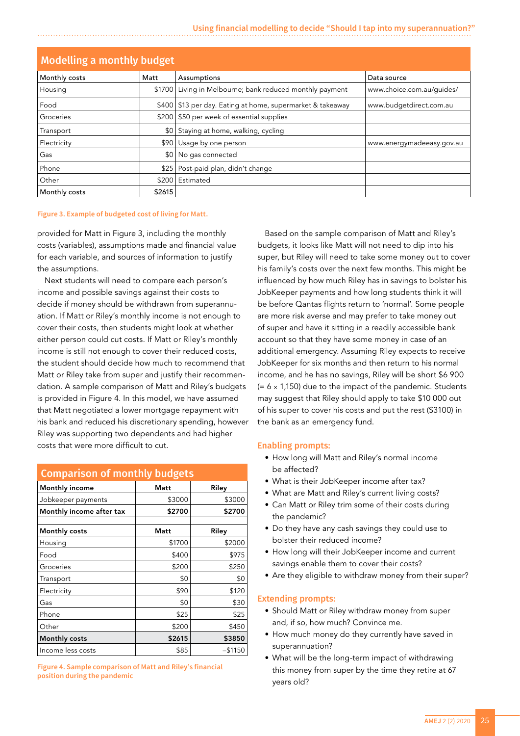| <b>Modelling a monthly budget</b> |        |                                                              |                           |  |
|-----------------------------------|--------|--------------------------------------------------------------|---------------------------|--|
| Monthly costs                     | Matt   | Assumptions                                                  | Data source               |  |
| Housing                           |        | \$1700 Living in Melbourne; bank reduced monthly payment     | www.choice.com.au/quides/ |  |
| Food                              |        | \$400   \$13 per day. Eating at home, supermarket & takeaway | www.budgetdirect.com.au   |  |
| Groceries                         |        | \$200   \$50 per week of essential supplies                  |                           |  |
| Transport                         | \$0    | Staying at home, walking, cycling                            |                           |  |
| Electricity                       | \$90   | Usage by one person                                          | www.energymadeeasy.gov.au |  |
| Gas                               | \$0    | No gas connected                                             |                           |  |
| Phone                             | \$25   | Post-paid plan, didn't change                                |                           |  |
| 'Other                            | \$200  | Estimated                                                    |                           |  |
| Monthly costs                     | \$2615 |                                                              |                           |  |

#### **Figure 3. Example of budgeted cost of living for Matt.**

provided for Matt in Figure 3, including the monthly costs (variables), assumptions made and financial value for each variable, and sources of information to justify the assumptions.

Next students will need to compare each person's income and possible savings against their costs to decide if money should be withdrawn from superannuation. If Matt or Riley's monthly income is not enough to cover their costs, then students might look at whether either person could cut costs. If Matt or Riley's monthly income is still not enough to cover their reduced costs, the student should decide how much to recommend that Matt or Riley take from super and justify their recommendation. A sample comparison of Matt and Riley's budgets is provided in Figure 4. In this model, we have assumed that Matt negotiated a lower mortgage repayment with his bank and reduced his discretionary spending, however Riley was supporting two dependents and had higher costs that were more difficult to cut.

| <b>Comparison of monthly budgets</b> |        |            |  |  |
|--------------------------------------|--------|------------|--|--|
| Monthly income                       | Matt   | Riley      |  |  |
| Jobkeeper payments                   | \$3000 | \$3000     |  |  |
| Monthly income after tax             | \$2700 | \$2700     |  |  |
|                                      |        |            |  |  |
| Monthly costs                        | Matt   | Riley      |  |  |
| Housing                              | \$1700 | \$2000     |  |  |
| Food                                 | \$400  | \$975      |  |  |
| Groceries                            | \$200  | \$250      |  |  |
| Transport                            | \$0    | \$0        |  |  |
| Electricity                          | \$90   | \$120      |  |  |
| Gas                                  | \$0    | \$30       |  |  |
| Phone                                | \$25   | \$25       |  |  |
| Other                                | \$200  | \$450      |  |  |
| Monthly costs                        | \$2615 | \$3850     |  |  |
| Income less costs                    | \$85   | $-$ \$1150 |  |  |

**Figure 4. Sample comparison of Matt and Riley's financial position during the pandemic**

Based on the sample comparison of Matt and Riley's budgets, it looks like Matt will not need to dip into his super, but Riley will need to take some money out to cover his family's costs over the next few months. This might be influenced by how much Riley has in savings to bolster his JobKeeper payments and how long students think it will be before Qantas flights return to 'normal'. Some people are more risk averse and may prefer to take money out of super and have it sitting in a readily accessible bank account so that they have some money in case of an additional emergency. Assuming Riley expects to receive JobKeeper for six months and then return to his normal income, and he has no savings, Riley will be short \$6 900  $(= 6 \times 1,150)$  due to the impact of the pandemic. Students may suggest that Riley should apply to take \$10 000 out of his super to cover his costs and put the rest (\$3100) in the bank as an emergency fund.

#### Enabling prompts:

- How long will Matt and Riley's normal income be affected?
- What is their JobKeeper income after tax?
- What are Matt and Riley's current living costs?
- Can Matt or Riley trim some of their costs during the pandemic?
- Do they have any cash savings they could use to bolster their reduced income?
- How long will their JobKeeper income and current savings enable them to cover their costs?
- Are they eligible to withdraw money from their super?

#### Extending prompts:

- Should Matt or Riley withdraw money from super and, if so, how much? Convince me.
- How much money do they currently have saved in superannuation?
- What will be the long-term impact of withdrawing this money from super by the time they retire at 67 years old?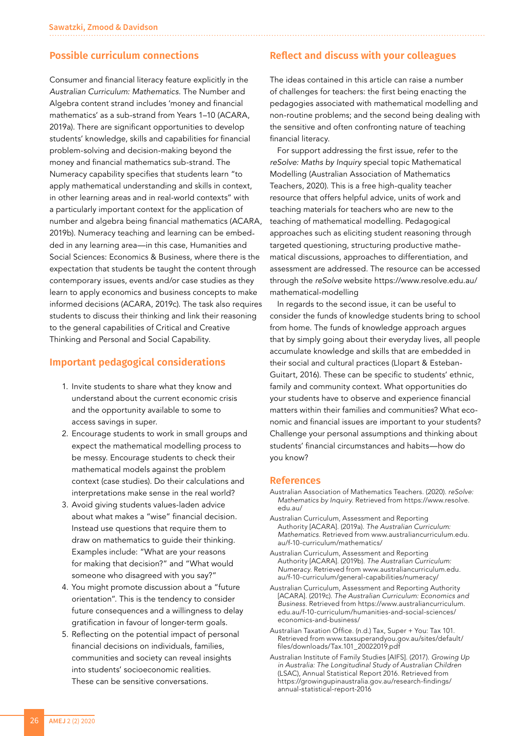## **Possible curriculum connections**

Consumer and financial literacy feature explicitly in the *Australian Curriculum: Mathematics.* The Number and Algebra content strand includes 'money and financial mathematics' as a sub-strand from Years 1–10 (ACARA, 2019a). There are significant opportunities to develop students' knowledge, skills and capabilities for financial problem-solving and decision-making beyond the money and financial mathematics sub-strand. The Numeracy capability specifies that students learn "to apply mathematical understanding and skills in context, in other learning areas and in real-world contexts" with a particularly important context for the application of number and algebra being financial mathematics (ACARA, 2019b). Numeracy teaching and learning can be embedded in any learning area—in this case, Humanities and Social Sciences: Economics & Business, where there is the expectation that students be taught the content through contemporary issues, events and/or case studies as they learn to apply economics and business concepts to make informed decisions (ACARA, 2019c). The task also requires students to discuss their thinking and link their reasoning to the general capabilities of Critical and Creative Thinking and Personal and Social Capability.

### **Important pedagogical considerations**

- 1. Invite students to share what they know and understand about the current economic crisis and the opportunity available to some to access savings in super.
- 2. Encourage students to work in small groups and expect the mathematical modelling process to be messy. Encourage students to check their mathematical models against the problem context (case studies). Do their calculations and interpretations make sense in the real world?
- 3. Avoid giving students values-laden advice about what makes a "wise" financial decision. Instead use questions that require them to draw on mathematics to guide their thinking. Examples include: "What are your reasons for making that decision?" and "What would someone who disagreed with you say?"
- 4. You might promote discussion about a "future orientation". This is the tendency to consider future consequences and a willingness to delay gratification in favour of longer-term goals.
- 5. Reflecting on the potential impact of personal financial decisions on individuals, families, communities and society can reveal insights into students' socioeconomic realities. These can be sensitive conversations.

## **Reflect and discuss with your colleagues**

The ideas contained in this article can raise a number of challenges for teachers: the first being enacting the pedagogies associated with mathematical modelling and non-routine problems; and the second being dealing with the sensitive and often confronting nature of teaching financial literacy.

For support addressing the first issue, refer to the *reSolve: Maths by Inquiry* special topic Mathematical Modelling (Australian Association of Mathematics Teachers, 2020). This is a free high-quality teacher resource that offers helpful advice, units of work and teaching materials for teachers who are new to the teaching of mathematical modelling. Pedagogical approaches such as eliciting student reasoning through targeted questioning, structuring productive mathematical discussions, approaches to differentiation, and assessment are addressed. The resource can be accessed through the *reSolve* website https://www.resolve.edu.au/ mathematical-modelling

In regards to the second issue, it can be useful to consider the funds of knowledge students bring to school from home. The funds of knowledge approach argues that by simply going about their everyday lives, all people accumulate knowledge and skills that are embedded in their social and cultural practices (Llopart & Esteban-Guitart, 2016). These can be specific to students' ethnic, family and community context. What opportunities do your students have to observe and experience financial matters within their families and communities? What economic and financial issues are important to your students? Challenge your personal assumptions and thinking about students' financial circumstances and habits—how do you know?

#### **References**

- Australian Association of Mathematics Teachers. (2020). *reSolve: Mathematics by Inquiry*. Retrieved from https://www.resolve. edu.au/
- Australian Curriculum, Assessment and Reporting Authority [ACARA]. (2019a). *The Australian Curriculum: Mathematics.* Retrieved from www.australiancurriculum.edu. au/f-10-curriculum/mathematics/
- Australian Curriculum, Assessment and Reporting Authority [ACARA]. (2019b). *The Australian Curriculum: Numeracy.* Retrieved from www.australiancurriculum.edu. au/f-10-curriculum/general-capabilities/numeracy/
- Australian Curriculum, Assessment and Reporting Authority [ACARA]. (2019c). *The Australian Curriculum: Economics and Business.* Retrieved from https://www.australiancurriculum. edu.au/f-10-curriculum/humanities-and-social-sciences/ economics-and-business/
- Australian Taxation Office. (n.d.) Tax, Super + You: Tax 101. Retrieved from www.taxsuperandyou.gov.au/sites/default/ files/downloads/Tax.101\_20022019.pdf
- Australian Institute of Family Studies [AIFS]. (2017). *Growing Up in Australia: The Longitudinal Study of Australian Children*  (LSAC), Annual Statistical Report 2016. Retrieved from https://growingupinaustralia.gov.au/research-findings/ annual-statistical-report-2016